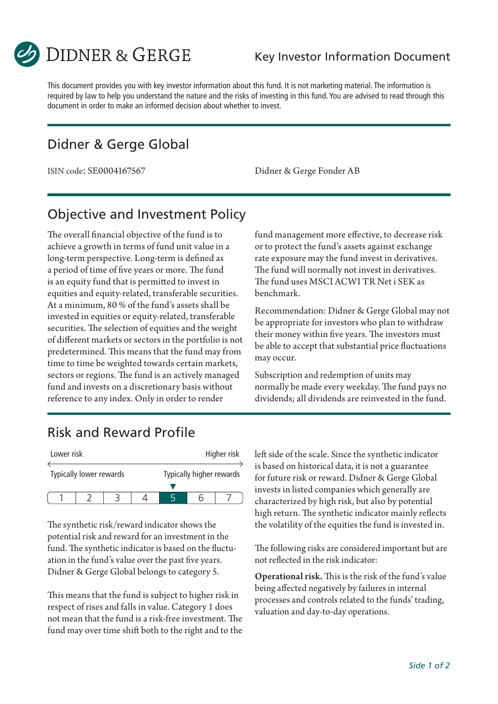

This document provides you with key investor information about this fund. It is not marketing material. The information is required by law to help you understand the nature and the risks of investing in this fund. You are advised to read through this document in order to make an informed decision about whether to invest.

### Didner & Gerge Global

ISIN code: SE0004167567 Didner & Gerge Fonder AB

# Objective and Investment Policy

The overall financial objective of the fund is to achieve a growth in terms of fund unit value in a long-term perspective. Long-term is defined as a period of time of five years or more. The fund is an equity fund that is permitted to invest in equities and equity-related, transferable securities. At a minimum, 80 % of the fund's assets shall be invested in equities or equity-related, transferable securities. The selection of equities and the weight of different markets or sectors in the portfolio is not predetermined. This means that the fund may from time to time be weighted towards certain markets, sectors or regions. The fund is an actively managed fund and invests on a discretionary basis without reference to any index. Only in order to render

fund management more effective, to decrease risk or to protect the fund's assets against exchange rate exposure may the fund invest in derivatives. The fund will normally not invest in derivatives. The fund uses MSCI ACWI TR Net i SEK as benchmark.

Recommendation: Didner & Gerge Global may not be appropriate for investors who plan to withdraw their money within five years. The investors must be able to accept that substantial price fluctuations may occur.

Subscription and redemption of units may normally be made every weekday. The fund pays no dividends; all dividends are reinvested in the fund.

# Risk and Reward Profile

| Lower risk |                         |  |  | Higher risk              |  |  |
|------------|-------------------------|--|--|--------------------------|--|--|
|            | Typically lower rewards |  |  | Typically higher rewards |  |  |
|            |                         |  |  |                          |  |  |
|            |                         |  |  |                          |  |  |

The synthetic risk/reward indicator shows the potential risk and reward for an investment in the fund. The synthetic indicator is based on the fluctuation in the fund's value over the past five years. Didner & Gerge Global belongs to category 5.

This means that the fund is subject to higher risk in respect of rises and falls in value. Category 1 does not mean that the fund is a risk-free investment. The fund may over time shift both to the right and to the left side of the scale. Since the synthetic indicator is based on historical data, it is not a guarantee for future risk or reward. Didner & Gerge Global invests in listed companies which generally are characterized by high risk, but also by potential high return. The synthetic indicator mainly reflects the volatility of the equities the fund is invested in.

The following risks are considered important but are not reflected in the risk indicator:

Operational risk. This is the risk of the fund's value being affected negatively by failures in internal processes and controls related to the funds' trading, valuation and day-to-day operations.